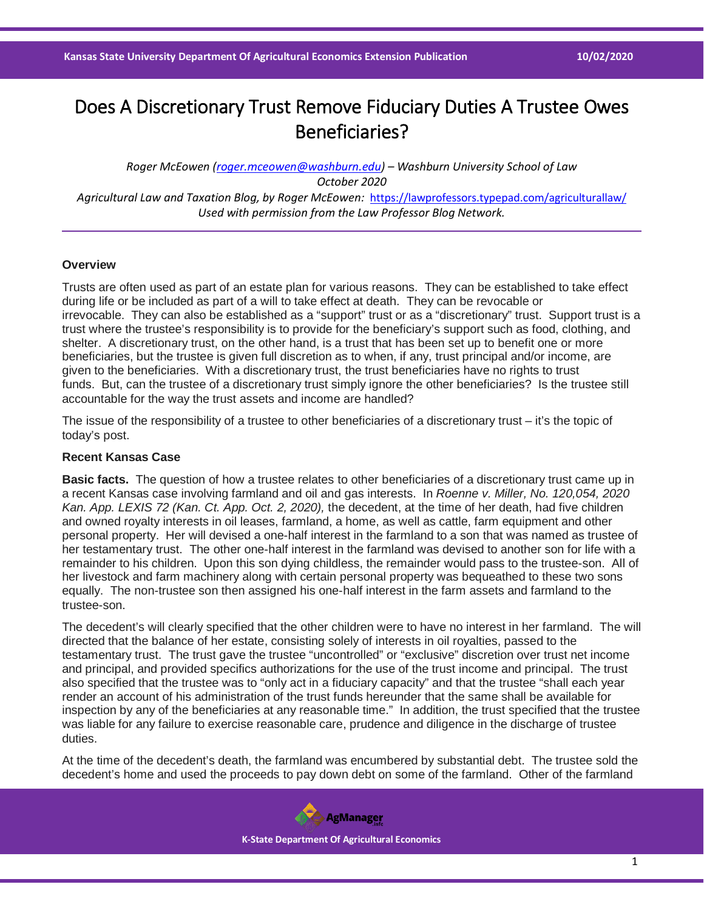## Does A Discretionary Trust Remove Fiduciary Duties A Trustee Owes Beneficiaries?

*Roger McEowen [\(roger.mceowen@washburn.edu\)](mailto:roger.mceowen@washburn.edu) – Washburn University School of Law October 2020 Agricultural Law and Taxation Blog, by Roger McEowen:* <https://lawprofessors.typepad.com/agriculturallaw/> *Used with permission from the Law Professor Blog Network.* 

## **Overview**

Trusts are often used as part of an estate plan for various reasons. They can be established to take effect during life or be included as part of a will to take effect at death. They can be revocable or irrevocable. They can also be established as a "support" trust or as a "discretionary" trust. Support trust is a trust where the trustee's responsibility is to provide for the beneficiary's support such as food, clothing, and shelter. A discretionary trust, on the other hand, is a trust that has been set up to benefit one or more beneficiaries, but the trustee is given full discretion as to when, if any, trust principal and/or income, are given to the beneficiaries. With a discretionary trust, the trust beneficiaries have no rights to trust funds. But, can the trustee of a discretionary trust simply ignore the other beneficiaries? Is the trustee still accountable for the way the trust assets and income are handled?

The issue of the responsibility of a trustee to other beneficiaries of a discretionary trust – it's the topic of today's post.

## **Recent Kansas Case**

**Basic facts.** The question of how a trustee relates to other beneficiaries of a discretionary trust came up in a recent Kansas case involving farmland and oil and gas interests. In *Roenne v. Miller, No. 120,054, 2020 Kan. App. LEXIS 72 (Kan. Ct. App. Oct. 2, 2020),* the decedent, at the time of her death, had five children and owned royalty interests in oil leases, farmland, a home, as well as cattle, farm equipment and other personal property. Her will devised a one-half interest in the farmland to a son that was named as trustee of her testamentary trust. The other one-half interest in the farmland was devised to another son for life with a remainder to his children. Upon this son dying childless, the remainder would pass to the trustee-son. All of her livestock and farm machinery along with certain personal property was bequeathed to these two sons equally. The non-trustee son then assigned his one-half interest in the farm assets and farmland to the trustee-son.

The decedent's will clearly specified that the other children were to have no interest in her farmland. The will directed that the balance of her estate, consisting solely of interests in oil royalties, passed to the testamentary trust. The trust gave the trustee "uncontrolled" or "exclusive" discretion over trust net income and principal, and provided specifics authorizations for the use of the trust income and principal. The trust also specified that the trustee was to "only act in a fiduciary capacity" and that the trustee "shall each year render an account of his administration of the trust funds hereunder that the same shall be available for inspection by any of the beneficiaries at any reasonable time." In addition, the trust specified that the trustee was liable for any failure to exercise reasonable care, prudence and diligence in the discharge of trustee duties.

At the time of the decedent's death, the farmland was encumbered by substantial debt. The trustee sold the decedent's home and used the proceeds to pay down debt on some of the farmland. Other of the farmland

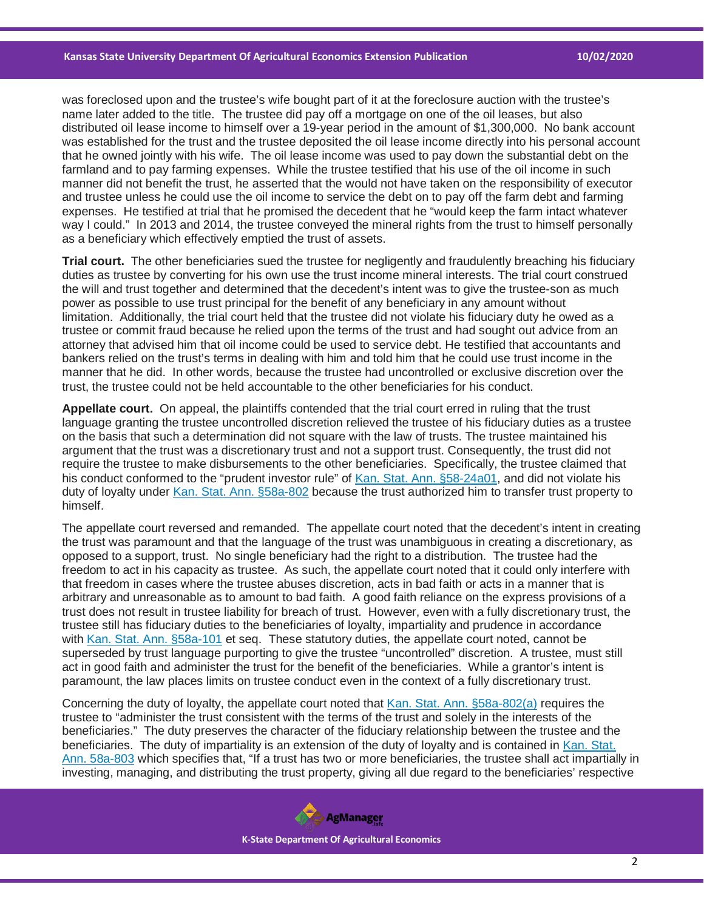was foreclosed upon and the trustee's wife bought part of it at the foreclosure auction with the trustee's name later added to the title. The trustee did pay off a mortgage on one of the oil leases, but also distributed oil lease income to himself over a 19-year period in the amount of \$1,300,000. No bank account was established for the trust and the trustee deposited the oil lease income directly into his personal account that he owned jointly with his wife. The oil lease income was used to pay down the substantial debt on the farmland and to pay farming expenses. While the trustee testified that his use of the oil income in such manner did not benefit the trust, he asserted that the would not have taken on the responsibility of executor and trustee unless he could use the oil income to service the debt on to pay off the farm debt and farming expenses. He testified at trial that he promised the decedent that he "would keep the farm intact whatever way I could." In 2013 and 2014, the trustee conveyed the mineral rights from the trust to himself personally as a beneficiary which effectively emptied the trust of assets.

**Trial court.** The other beneficiaries sued the trustee for negligently and fraudulently breaching his fiduciary duties as trustee by converting for his own use the trust income mineral interests. The trial court construed the will and trust together and determined that the decedent's intent was to give the trustee-son as much power as possible to use trust principal for the benefit of any beneficiary in any amount without limitation. Additionally, the trial court held that the trustee did not violate his fiduciary duty he owed as a trustee or commit fraud because he relied upon the terms of the trust and had sought out advice from an attorney that advised him that oil income could be used to service debt. He testified that accountants and bankers relied on the trust's terms in dealing with him and told him that he could use trust income in the manner that he did. In other words, because the trustee had uncontrolled or exclusive discretion over the trust, the trustee could not be held accountable to the other beneficiaries for his conduct.

**Appellate court.** On appeal, the plaintiffs contended that the trial court erred in ruling that the trust language granting the trustee uncontrolled discretion relieved the trustee of his fiduciary duties as a trustee on the basis that such a determination did not square with the law of trusts. The trustee maintained his argument that the trust was a discretionary trust and not a support trust. Consequently, the trust did not require the trustee to make disbursements to the other beneficiaries. Specifically, the trustee claimed that his conduct conformed to the "prudent investor rule" of [Kan. Stat. Ann. §58-24a01,](https://casetext.com/statute/kansas-statutes/chapter-58-personal-and-real-property/article-24a-uniform-prudent-investor-act/section-58-24a01-prudent-investor-rule?ref=ArRBZs!o3dFvu) and did not violate his duty of loyalty under [Kan. Stat. Ann. §58a-802](https://casetext.com/statute/kansas-statutes/chapter-58a-kansas-uniform-trust-code/article-8-duties-and-powers-of-trustee/section-58a-802-duty-of-loyalty?ref=ArRBZs!nYpmbn) because the trust authorized him to transfer trust property to himself.

The appellate court reversed and remanded. The appellate court noted that the decedent's intent in creating the trust was paramount and that the language of the trust was unambiguous in creating a discretionary, as opposed to a support, trust. No single beneficiary had the right to a distribution. The trustee had the freedom to act in his capacity as trustee. As such, the appellate court noted that it could only interfere with that freedom in cases where the trustee abuses discretion, acts in bad faith or acts in a manner that is arbitrary and unreasonable as to amount to bad faith. A good faith reliance on the express provisions of a trust does not result in trustee liability for breach of trust. However, even with a fully discretionary trust, the trustee still has fiduciary duties to the beneficiaries of loyalty, impartiality and prudence in accordance with [Kan. Stat. Ann. §58a-101](https://casetext.com/statute/kansas-statutes/chapter-58a-kansas-uniform-trust-code/article-1-general-provisions-and-definitions/section-58a-101-short-title?ref=ArRBZs!ygQ_jW) et seq. These statutory duties, the appellate court noted, cannot be superseded by trust language purporting to give the trustee "uncontrolled" discretion. A trustee, must still act in good faith and administer the trust for the benefit of the beneficiaries. While a grantor's intent is paramount, the law places limits on trustee conduct even in the context of a fully discretionary trust.

Concerning the duty of loyalty, the appellate court noted that [Kan. Stat. Ann. §58a-802\(a\)](https://casetext.com/statute/kansas-statutes/chapter-58a-kansas-uniform-trust-code/article-8-duties-and-powers-of-trustee/section-58a-802-duty-of-loyalty?ref=ArRBZs!nYpmbn) requires the trustee to "administer the trust consistent with the terms of the trust and solely in the interests of the beneficiaries." The duty preserves the character of the fiduciary relationship between the trustee and the beneficiaries. The duty of impartiality is an extension of the duty of loyalty and is contained in [Kan. Stat.](https://casetext.com/statute/kansas-statutes/chapter-58a-kansas-uniform-trust-code/article-8-duties-and-powers-of-trustee/section-58a-803-impartiality?ref=ArRBZs!bH9rBg)  [Ann. 58a-803](https://casetext.com/statute/kansas-statutes/chapter-58a-kansas-uniform-trust-code/article-8-duties-and-powers-of-trustee/section-58a-803-impartiality?ref=ArRBZs!bH9rBg) which specifies that, "If a trust has two or more beneficiaries, the trustee shall act impartially in investing, managing, and distributing the trust property, giving all due regard to the beneficiaries' respective